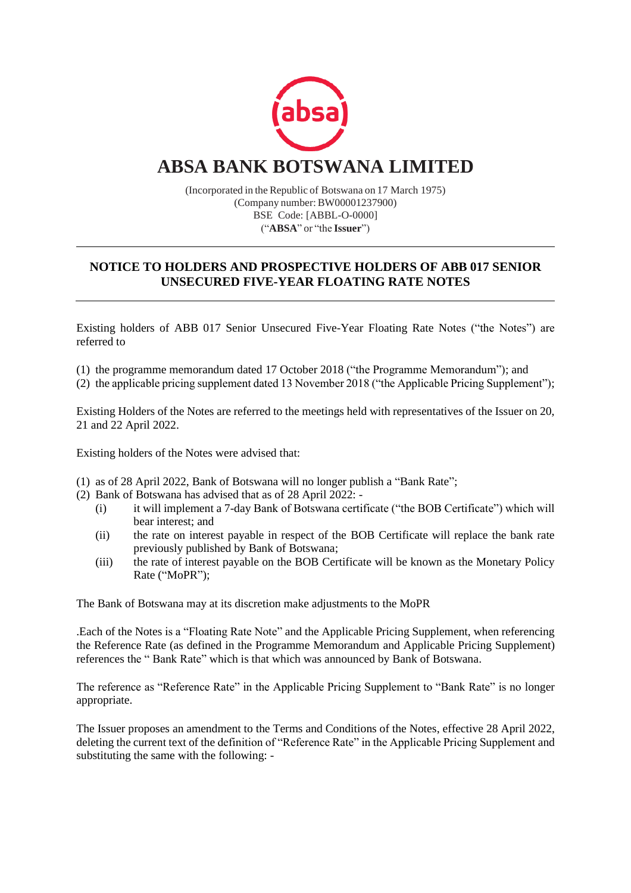

(Incorporated in the Republic of Botswana on 17 March 1975) (Company number:BW00001237900) BSE Code: [ABBL-O-0000] ("**ABSA**" or "the **Issuer**")

### **NOTICE TO HOLDERS AND PROSPECTIVE HOLDERS OF ABB 017 SENIOR UNSECURED FIVE-YEAR FLOATING RATE NOTES**

Existing holders of ABB 017 Senior Unsecured Five-Year Floating Rate Notes ("the Notes") are referred to

(1) the programme memorandum dated 17 October 2018 ("the Programme Memorandum"); and

(2) the applicable pricing supplement dated 13 November 2018 ("the Applicable Pricing Supplement");

Existing Holders of the Notes are referred to the meetings held with representatives of the Issuer on 20, 21 and 22 April 2022.

Existing holders of the Notes were advised that:

- (1) as of 28 April 2022, Bank of Botswana will no longer publish a "Bank Rate";
- (2) Bank of Botswana has advised that as of 28 April 2022:
	- (i) it will implement a 7-day Bank of Botswana certificate ("the BOB Certificate") which will bear interest; and
	- (ii) the rate on interest payable in respect of the BOB Certificate will replace the bank rate previously published by Bank of Botswana;
	- (iii) the rate of interest payable on the BOB Certificate will be known as the Monetary Policy Rate ("MoPR");

The Bank of Botswana may at its discretion make adjustments to the MoPR

.Each of the Notes is a "Floating Rate Note" and the Applicable Pricing Supplement, when referencing the Reference Rate (as defined in the Programme Memorandum and Applicable Pricing Supplement) references the " Bank Rate" which is that which was announced by Bank of Botswana.

The reference as "Reference Rate" in the Applicable Pricing Supplement to "Bank Rate" is no longer appropriate.

The Issuer proposes an amendment to the Terms and Conditions of the Notes, effective 28 April 2022, deleting the current text of the definition of "Reference Rate" in the Applicable Pricing Supplement and substituting the same with the following: -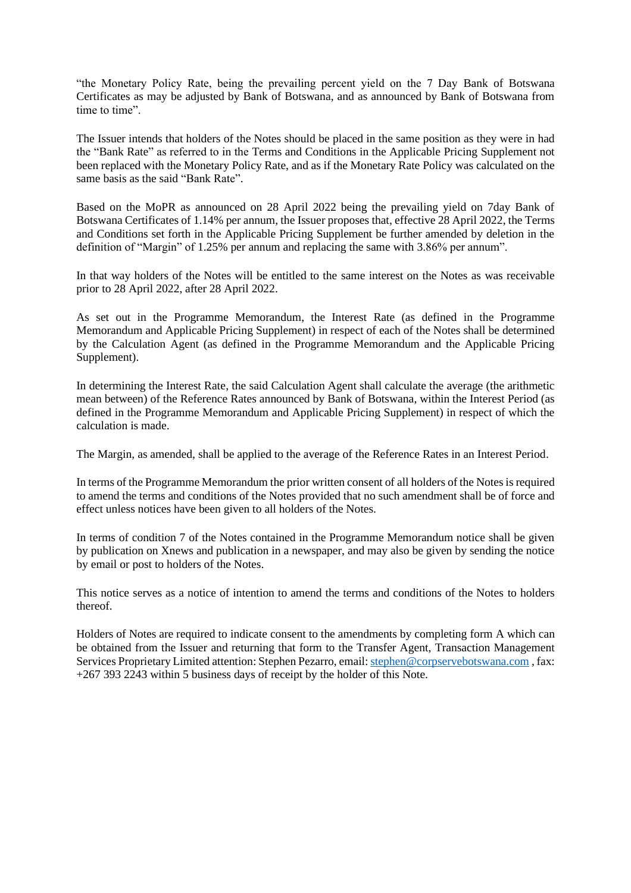"the Monetary Policy Rate, being the prevailing percent yield on the 7 Day Bank of Botswana Certificates as may be adjusted by Bank of Botswana, and as announced by Bank of Botswana from time to time".

The Issuer intends that holders of the Notes should be placed in the same position as they were in had the "Bank Rate" as referred to in the Terms and Conditions in the Applicable Pricing Supplement not been replaced with the Monetary Policy Rate, and as if the Monetary Rate Policy was calculated on the same basis as the said "Bank Rate".

Based on the MoPR as announced on 28 April 2022 being the prevailing yield on 7day Bank of Botswana Certificates of 1.14% per annum, the Issuer proposes that, effective 28 April 2022, the Terms and Conditions set forth in the Applicable Pricing Supplement be further amended by deletion in the definition of "Margin" of 1.25% per annum and replacing the same with 3.86% per annum".

In that way holders of the Notes will be entitled to the same interest on the Notes as was receivable prior to 28 April 2022, after 28 April 2022.

As set out in the Programme Memorandum, the Interest Rate (as defined in the Programme Memorandum and Applicable Pricing Supplement) in respect of each of the Notes shall be determined by the Calculation Agent (as defined in the Programme Memorandum and the Applicable Pricing Supplement).

In determining the Interest Rate, the said Calculation Agent shall calculate the average (the arithmetic mean between) of the Reference Rates announced by Bank of Botswana, within the Interest Period (as defined in the Programme Memorandum and Applicable Pricing Supplement) in respect of which the calculation is made.

The Margin, as amended, shall be applied to the average of the Reference Rates in an Interest Period.

In terms of the Programme Memorandum the prior written consent of all holders of the Notes is required to amend the terms and conditions of the Notes provided that no such amendment shall be of force and effect unless notices have been given to all holders of the Notes.

In terms of condition 7 of the Notes contained in the Programme Memorandum notice shall be given by publication on Xnews and publication in a newspaper, and may also be given by sending the notice by email or post to holders of the Notes.

This notice serves as a notice of intention to amend the terms and conditions of the Notes to holders thereof.

Holders of Notes are required to indicate consent to the amendments by completing form A which can be obtained from the Issuer and returning that form to the Transfer Agent, Transaction Management Services Proprietary Limited attention: Stephen Pezarro, email: stephen@corpservebotswana.com, fax: +267 393 2243 within 5 business days of receipt by the holder of this Note.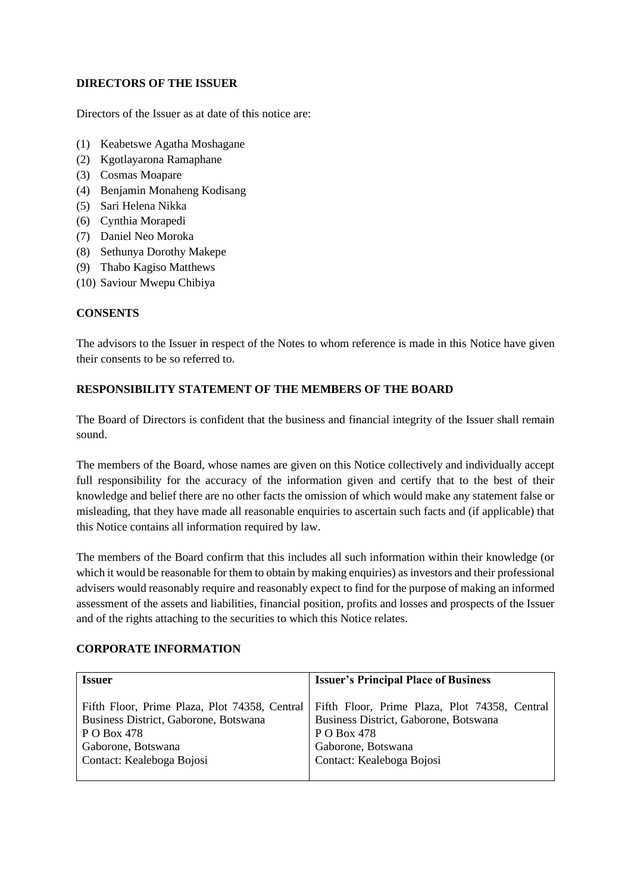#### **DIRECTORS OF THE ISSUER**

Directors of the Issuer as at date of this notice are:

- (1) Keabetswe Agatha Moshagane
- (2) Kgotlayarona Ramaphane
- (3) Cosmas Moapare
- (4) Benjamin Monaheng Kodisang
- (5) Sari Helena Nikka
- (6) Cynthia Morapedi
- (7) Daniel Neo Moroka
- (8) Sethunya Dorothy Makepe
- (9) Thabo Kagiso Matthews
- (10) Saviour Mwepu Chibiya

#### **CONSENTS**

The advisors to the Issuer in respect of the Notes to whom reference is made in this Notice have given their consents to be so referred to.

#### **RESPONSIBILITY STATEMENT OF THE MEMBERS OF THE BOARD**

The Board of Directors is confident that the business and financial integrity of the Issuer shall remain sound.

The members of the Board, whose names are given on this Notice collectively and individually accept full responsibility for the accuracy of the information given and certify that to the best of their knowledge and belief there are no other facts the omission of which would make any statement false or misleading, that they have made all reasonable enquiries to ascertain such facts and (if applicable) that this Notice contains all information required by law.

The members of the Board confirm that this includes all such information within their knowledge (or which it would be reasonable for them to obtain by making enquiries) as investors and their professional advisers would reasonably require and reasonably expect to find for the purpose of making an informed assessment of the assets and liabilities, financial position, profits and losses and prospects of the Issuer and of the rights attaching to the securities to which this Notice relates.

## **CORPORATE INFORMATION**

| Fifth Floor, Prime Plaza, Plot 74358, Central<br>Fifth Floor, Prime Plaza, Plot 74358, Central<br>Business District, Gaborone, Botswana<br>Business District, Gaborone, Botswana<br>P O Box 478<br>P O Box 478 | <b>Issuer</b>      | <b>Issuer's Principal Place of Business</b> |
|----------------------------------------------------------------------------------------------------------------------------------------------------------------------------------------------------------------|--------------------|---------------------------------------------|
| Contact: Kealeboga Bojosi<br>Contact: Kealeboga Bojosi                                                                                                                                                         | Gaborone, Botswana | Gaborone, Botswana                          |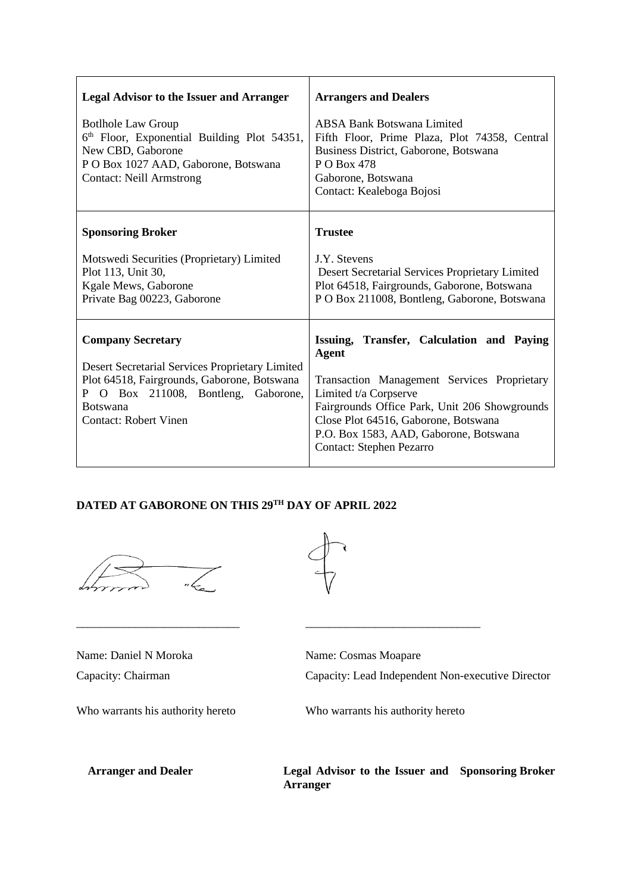| <b>Legal Advisor to the Issuer and Arranger</b>                                                                                                                                                                      | <b>Arrangers and Dealers</b>                                                                                                                                                                                                                                                                     |
|----------------------------------------------------------------------------------------------------------------------------------------------------------------------------------------------------------------------|--------------------------------------------------------------------------------------------------------------------------------------------------------------------------------------------------------------------------------------------------------------------------------------------------|
| <b>Bothole Law Group</b><br>6th Floor, Exponential Building Plot 54351,<br>New CBD, Gaborone<br>P O Box 1027 AAD, Gaborone, Botswana<br><b>Contact: Neill Armstrong</b>                                              | <b>ABSA Bank Botswana Limited</b><br>Fifth Floor, Prime Plaza, Plot 74358, Central<br>Business District, Gaborone, Botswana<br>P O Box 478<br>Gaborone, Botswana<br>Contact: Kealeboga Bojosi                                                                                                    |
| <b>Sponsoring Broker</b>                                                                                                                                                                                             | <b>Trustee</b>                                                                                                                                                                                                                                                                                   |
| Motswedi Securities (Proprietary) Limited<br>Plot 113, Unit 30,<br>Kgale Mews, Gaborone<br>Private Bag 00223, Gaborone                                                                                               | <b>J.Y.</b> Stevens<br>Desert Secretarial Services Proprietary Limited<br>Plot 64518, Fairgrounds, Gaborone, Botswana<br>PO Box 211008, Bontleng, Gaborone, Botswana                                                                                                                             |
| <b>Company Secretary</b><br>Desert Secretarial Services Proprietary Limited<br>Plot 64518, Fairgrounds, Gaborone, Botswana<br>P O Box 211008, Bontleng, Gaborone,<br><b>Botswana</b><br><b>Contact: Robert Vinen</b> | Issuing, Transfer, Calculation and Paying<br><b>Agent</b><br>Transaction Management Services Proprietary<br>Limited t/a Corpserve<br>Fairgrounds Office Park, Unit 206 Showgrounds<br>Close Plot 64516, Gaborone, Botswana<br>P.O. Box 1583, AAD, Gaborone, Botswana<br>Contact: Stephen Pezarro |

# **DATED AT GABORONE ON THIS 29TH DAY OF APRIL 2022**





\_\_\_\_\_\_\_\_\_\_\_\_\_\_\_\_\_\_\_\_\_\_\_\_\_\_\_\_ \_\_\_\_\_\_\_\_\_\_\_\_\_\_\_\_\_\_\_\_\_\_\_\_\_\_\_\_\_\_

Name: Daniel N Moroka Name: Cosmas Moapare

Capacity: Chairman Capacity: Lead Independent Non-executive Director

Who warrants his authority hereto Who warrants his authority hereto

**Arranger and Dealer Legal Advisor to the Issuer and Sponsoring BrokerArranger**